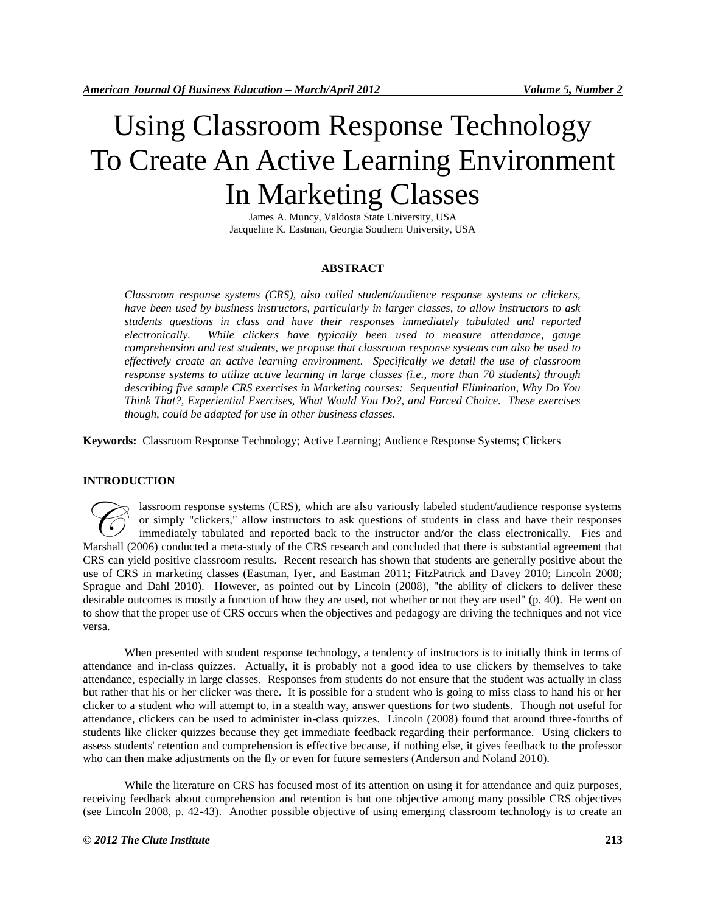# Using Classroom Response Technology To Create An Active Learning Environment In Marketing Classes

James A. Muncy, Valdosta State University, USA Jacqueline K. Eastman, Georgia Southern University, USA

# **ABSTRACT**

*Classroom response systems (CRS), also called student/audience response systems or clickers, have been used by business instructors, particularly in larger classes, to allow instructors to ask students questions in class and have their responses immediately tabulated and reported electronically. While clickers have typically been used to measure attendance, gauge comprehension and test students, we propose that classroom response systems can also be used to effectively create an active learning environment. Specifically we detail the use of classroom response systems to utilize active learning in large classes (i.e., more than 70 students) through describing five sample CRS exercises in Marketing courses: Sequential Elimination, Why Do You Think That?, Experiential Exercises, What Would You Do?, and Forced Choice. These exercises though, could be adapted for use in other business classes.*

**Keywords:** Classroom Response Technology; Active Learning; Audience Response Systems; Clickers

#### **INTRODUCTION**

lassroom response systems (CRS), which are also variously labeled student/audience response systems or simply "clickers," allow instructors to ask questions of students in class and have their responses immediately tabulated and reported back to the instructor and/or the class electronically. Fies and Marshall (2006) conducted a meta-study of the CRS research and concluded that there is substantial agreement that Marshall (2006) conducted a meta-study of the CRS research and concluded that there is substantial agreement CRS can yield positive classroom results. Recent research has shown that students are generally positive about the use of CRS in marketing classes (Eastman, Iyer, and Eastman 2011; FitzPatrick and Davey 2010; Lincoln 2008; Sprague and Dahl 2010). However, as pointed out by Lincoln (2008), "the ability of clickers to deliver these desirable outcomes is mostly a function of how they are used, not whether or not they are used" (p. 40). He went on to show that the proper use of CRS occurs when the objectives and pedagogy are driving the techniques and not vice versa.

When presented with student response technology, a tendency of instructors is to initially think in terms of attendance and in-class quizzes. Actually, it is probably not a good idea to use clickers by themselves to take attendance, especially in large classes. Responses from students do not ensure that the student was actually in class but rather that his or her clicker was there. It is possible for a student who is going to miss class to hand his or her clicker to a student who will attempt to, in a stealth way, answer questions for two students. Though not useful for attendance, clickers can be used to administer in-class quizzes. Lincoln (2008) found that around three-fourths of students like clicker quizzes because they get immediate feedback regarding their performance. Using clickers to assess students' retention and comprehension is effective because, if nothing else, it gives feedback to the professor who can then make adjustments on the fly or even for future semesters (Anderson and Noland 2010).

While the literature on CRS has focused most of its attention on using it for attendance and quiz purposes, receiving feedback about comprehension and retention is but one objective among many possible CRS objectives (see Lincoln 2008, p. 42-43). Another possible objective of using emerging classroom technology is to create an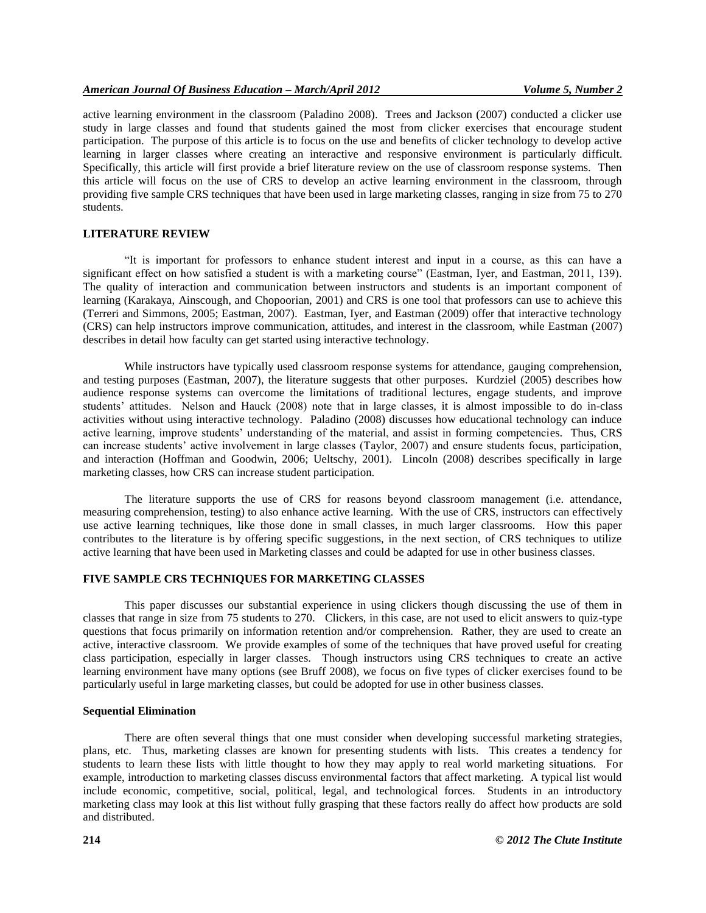active learning environment in the classroom (Paladino 2008). Trees and Jackson (2007) conducted a clicker use study in large classes and found that students gained the most from clicker exercises that encourage student participation. The purpose of this article is to focus on the use and benefits of clicker technology to develop active learning in larger classes where creating an interactive and responsive environment is particularly difficult. Specifically, this article will first provide a brief literature review on the use of classroom response systems. Then this article will focus on the use of CRS to develop an active learning environment in the classroom, through providing five sample CRS techniques that have been used in large marketing classes, ranging in size from 75 to 270 students.

# **LITERATURE REVIEW**

"It is important for professors to enhance student interest and input in a course, as this can have a significant effect on how satisfied a student is with a marketing course" (Eastman, Iyer, and Eastman, 2011, 139). The quality of interaction and communication between instructors and students is an important component of learning (Karakaya, Ainscough, and Chopoorian, 2001) and CRS is one tool that professors can use to achieve this (Terreri and Simmons, 2005; Eastman, 2007). Eastman, Iyer, and Eastman (2009) offer that interactive technology (CRS) can help instructors improve communication, attitudes, and interest in the classroom, while Eastman (2007) describes in detail how faculty can get started using interactive technology.

While instructors have typically used classroom response systems for attendance, gauging comprehension, and testing purposes (Eastman, 2007), the literature suggests that other purposes. Kurdziel (2005) describes how audience response systems can overcome the limitations of traditional lectures, engage students, and improve students' attitudes. Nelson and Hauck (2008) note that in large classes, it is almost impossible to do in-class activities without using interactive technology. Paladino (2008) discusses how educational technology can induce active learning, improve students' understanding of the material, and assist in forming competencies. Thus, CRS can increase students' active involvement in large classes (Taylor, 2007) and ensure students focus, participation, and interaction (Hoffman and Goodwin, 2006; Ueltschy, 2001). Lincoln (2008) describes specifically in large marketing classes, how CRS can increase student participation.

The literature supports the use of CRS for reasons beyond classroom management (i.e. attendance, measuring comprehension, testing) to also enhance active learning. With the use of CRS, instructors can effectively use active learning techniques, like those done in small classes, in much larger classrooms. How this paper contributes to the literature is by offering specific suggestions, in the next section, of CRS techniques to utilize active learning that have been used in Marketing classes and could be adapted for use in other business classes.

### **FIVE SAMPLE CRS TECHNIQUES FOR MARKETING CLASSES**

This paper discusses our substantial experience in using clickers though discussing the use of them in classes that range in size from 75 students to 270. Clickers, in this case, are not used to elicit answers to quiz-type questions that focus primarily on information retention and/or comprehension. Rather, they are used to create an active, interactive classroom. We provide examples of some of the techniques that have proved useful for creating class participation, especially in larger classes. Though instructors using CRS techniques to create an active learning environment have many options (see Bruff 2008), we focus on five types of clicker exercises found to be particularly useful in large marketing classes, but could be adopted for use in other business classes.

#### **Sequential Elimination**

There are often several things that one must consider when developing successful marketing strategies, plans, etc. Thus, marketing classes are known for presenting students with lists. This creates a tendency for students to learn these lists with little thought to how they may apply to real world marketing situations. For example, introduction to marketing classes discuss environmental factors that affect marketing. A typical list would include economic, competitive, social, political, legal, and technological forces. Students in an introductory marketing class may look at this list without fully grasping that these factors really do affect how products are sold and distributed.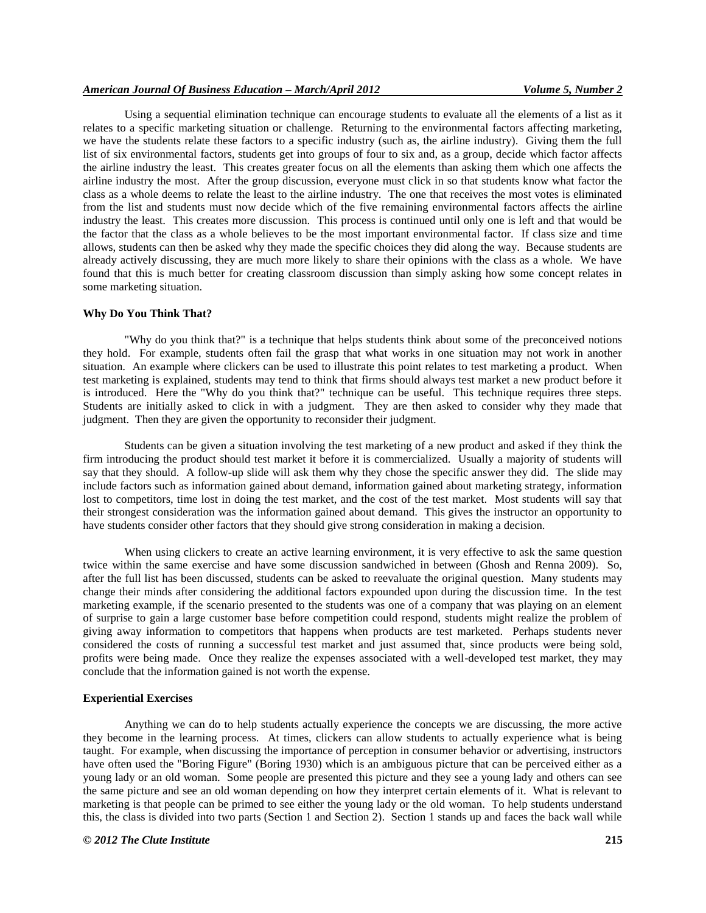# *American Journal Of Business Education – March/April 2012 Volume 5, Number 2*

Using a sequential elimination technique can encourage students to evaluate all the elements of a list as it relates to a specific marketing situation or challenge. Returning to the environmental factors affecting marketing, we have the students relate these factors to a specific industry (such as, the airline industry). Giving them the full list of six environmental factors, students get into groups of four to six and, as a group, decide which factor affects the airline industry the least. This creates greater focus on all the elements than asking them which one affects the airline industry the most. After the group discussion, everyone must click in so that students know what factor the class as a whole deems to relate the least to the airline industry. The one that receives the most votes is eliminated from the list and students must now decide which of the five remaining environmental factors affects the airline industry the least. This creates more discussion. This process is continued until only one is left and that would be the factor that the class as a whole believes to be the most important environmental factor. If class size and time allows, students can then be asked why they made the specific choices they did along the way. Because students are already actively discussing, they are much more likely to share their opinions with the class as a whole. We have found that this is much better for creating classroom discussion than simply asking how some concept relates in some marketing situation.

#### **Why Do You Think That?**

"Why do you think that?" is a technique that helps students think about some of the preconceived notions they hold. For example, students often fail the grasp that what works in one situation may not work in another situation. An example where clickers can be used to illustrate this point relates to test marketing a product. When test marketing is explained, students may tend to think that firms should always test market a new product before it is introduced. Here the "Why do you think that?" technique can be useful. This technique requires three steps. Students are initially asked to click in with a judgment. They are then asked to consider why they made that judgment. Then they are given the opportunity to reconsider their judgment.

Students can be given a situation involving the test marketing of a new product and asked if they think the firm introducing the product should test market it before it is commercialized. Usually a majority of students will say that they should. A follow-up slide will ask them why they chose the specific answer they did. The slide may include factors such as information gained about demand, information gained about marketing strategy, information lost to competitors, time lost in doing the test market, and the cost of the test market. Most students will say that their strongest consideration was the information gained about demand. This gives the instructor an opportunity to have students consider other factors that they should give strong consideration in making a decision.

When using clickers to create an active learning environment, it is very effective to ask the same question twice within the same exercise and have some discussion sandwiched in between (Ghosh and Renna 2009). So, after the full list has been discussed, students can be asked to reevaluate the original question. Many students may change their minds after considering the additional factors expounded upon during the discussion time. In the test marketing example, if the scenario presented to the students was one of a company that was playing on an element of surprise to gain a large customer base before competition could respond, students might realize the problem of giving away information to competitors that happens when products are test marketed. Perhaps students never considered the costs of running a successful test market and just assumed that, since products were being sold, profits were being made. Once they realize the expenses associated with a well-developed test market, they may conclude that the information gained is not worth the expense.

#### **Experiential Exercises**

Anything we can do to help students actually experience the concepts we are discussing, the more active they become in the learning process. At times, clickers can allow students to actually experience what is being taught. For example, when discussing the importance of perception in consumer behavior or advertising, instructors have often used the "Boring Figure" (Boring 1930) which is an ambiguous picture that can be perceived either as a young lady or an old woman. Some people are presented this picture and they see a young lady and others can see the same picture and see an old woman depending on how they interpret certain elements of it. What is relevant to marketing is that people can be primed to see either the young lady or the old woman. To help students understand this, the class is divided into two parts (Section 1 and Section 2). Section 1 stands up and faces the back wall while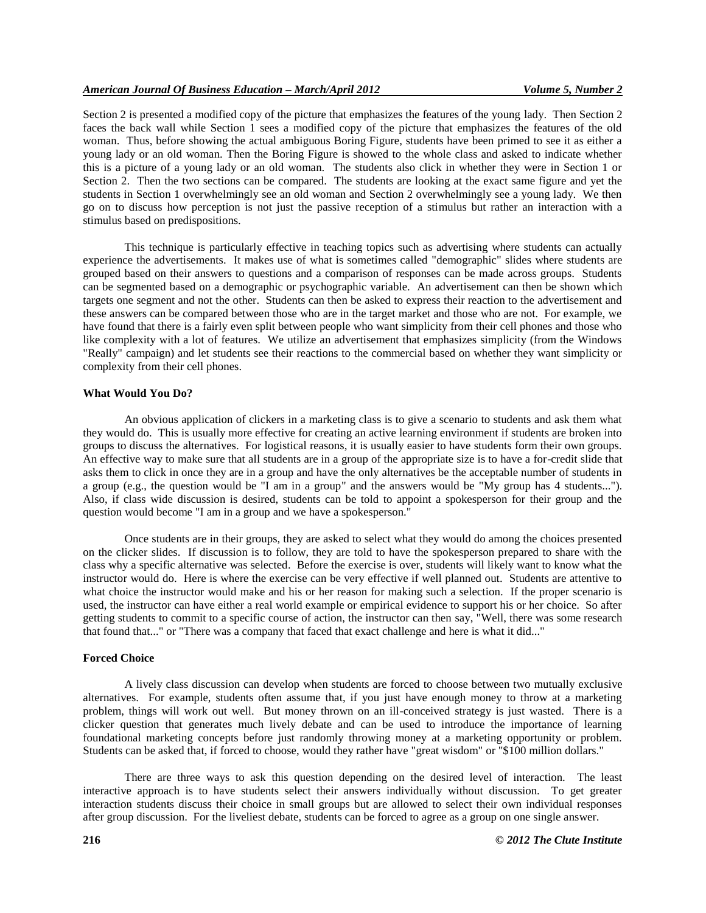Section 2 is presented a modified copy of the picture that emphasizes the features of the young lady. Then Section 2 faces the back wall while Section 1 sees a modified copy of the picture that emphasizes the features of the old woman. Thus, before showing the actual ambiguous Boring Figure, students have been primed to see it as either a young lady or an old woman. Then the Boring Figure is showed to the whole class and asked to indicate whether this is a picture of a young lady or an old woman. The students also click in whether they were in Section 1 or Section 2. Then the two sections can be compared. The students are looking at the exact same figure and yet the students in Section 1 overwhelmingly see an old woman and Section 2 overwhelmingly see a young lady. We then go on to discuss how perception is not just the passive reception of a stimulus but rather an interaction with a stimulus based on predispositions.

This technique is particularly effective in teaching topics such as advertising where students can actually experience the advertisements. It makes use of what is sometimes called "demographic" slides where students are grouped based on their answers to questions and a comparison of responses can be made across groups. Students can be segmented based on a demographic or psychographic variable. An advertisement can then be shown which targets one segment and not the other. Students can then be asked to express their reaction to the advertisement and these answers can be compared between those who are in the target market and those who are not. For example, we have found that there is a fairly even split between people who want simplicity from their cell phones and those who like complexity with a lot of features. We utilize an advertisement that emphasizes simplicity (from the Windows "Really" campaign) and let students see their reactions to the commercial based on whether they want simplicity or complexity from their cell phones.

#### **What Would You Do?**

An obvious application of clickers in a marketing class is to give a scenario to students and ask them what they would do. This is usually more effective for creating an active learning environment if students are broken into groups to discuss the alternatives. For logistical reasons, it is usually easier to have students form their own groups. An effective way to make sure that all students are in a group of the appropriate size is to have a for-credit slide that asks them to click in once they are in a group and have the only alternatives be the acceptable number of students in a group (e.g., the question would be "I am in a group" and the answers would be "My group has 4 students..."). Also, if class wide discussion is desired, students can be told to appoint a spokesperson for their group and the question would become "I am in a group and we have a spokesperson."

Once students are in their groups, they are asked to select what they would do among the choices presented on the clicker slides. If discussion is to follow, they are told to have the spokesperson prepared to share with the class why a specific alternative was selected. Before the exercise is over, students will likely want to know what the instructor would do. Here is where the exercise can be very effective if well planned out. Students are attentive to what choice the instructor would make and his or her reason for making such a selection. If the proper scenario is used, the instructor can have either a real world example or empirical evidence to support his or her choice. So after getting students to commit to a specific course of action, the instructor can then say, "Well, there was some research that found that..." or "There was a company that faced that exact challenge and here is what it did..."

#### **Forced Choice**

A lively class discussion can develop when students are forced to choose between two mutually exclusive alternatives. For example, students often assume that, if you just have enough money to throw at a marketing problem, things will work out well. But money thrown on an ill-conceived strategy is just wasted. There is a clicker question that generates much lively debate and can be used to introduce the importance of learning foundational marketing concepts before just randomly throwing money at a marketing opportunity or problem. Students can be asked that, if forced to choose, would they rather have "great wisdom" or "\$100 million dollars."

There are three ways to ask this question depending on the desired level of interaction. The least interactive approach is to have students select their answers individually without discussion. To get greater interaction students discuss their choice in small groups but are allowed to select their own individual responses after group discussion. For the liveliest debate, students can be forced to agree as a group on one single answer.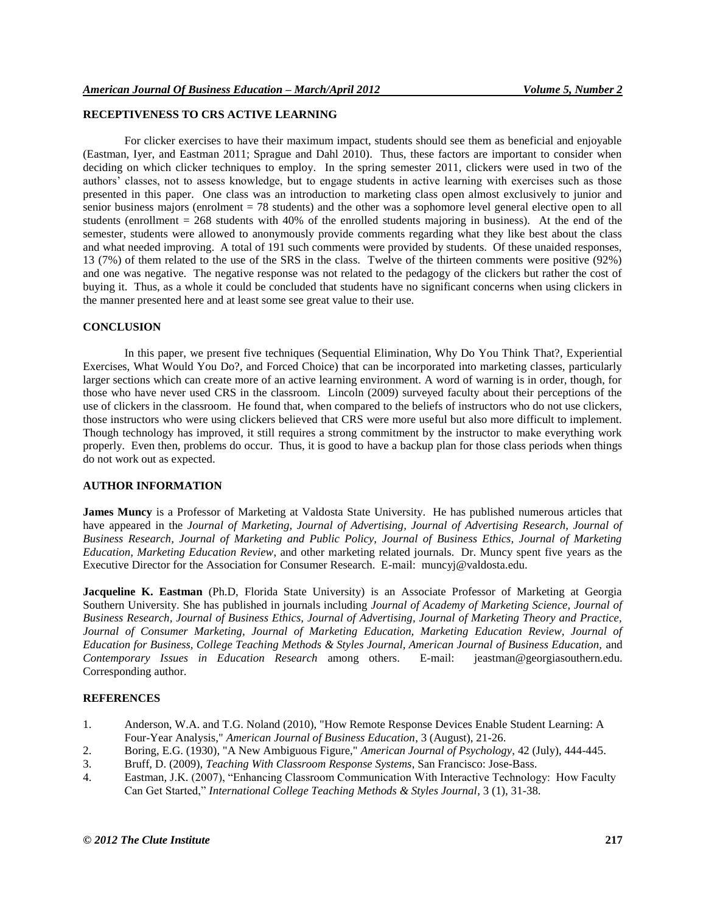# **RECEPTIVENESS TO CRS ACTIVE LEARNING**

For clicker exercises to have their maximum impact, students should see them as beneficial and enjoyable (Eastman, Iyer, and Eastman 2011; Sprague and Dahl 2010). Thus, these factors are important to consider when deciding on which clicker techniques to employ. In the spring semester 2011, clickers were used in two of the authors' classes, not to assess knowledge, but to engage students in active learning with exercises such as those presented in this paper. One class was an introduction to marketing class open almost exclusively to junior and senior business majors (enrolment  $= 78$  students) and the other was a sophomore level general elective open to all students (enrollment = 268 students with 40% of the enrolled students majoring in business). At the end of the semester, students were allowed to anonymously provide comments regarding what they like best about the class and what needed improving. A total of 191 such comments were provided by students. Of these unaided responses, 13 (7%) of them related to the use of the SRS in the class. Twelve of the thirteen comments were positive (92%) and one was negative. The negative response was not related to the pedagogy of the clickers but rather the cost of buying it. Thus, as a whole it could be concluded that students have no significant concerns when using clickers in the manner presented here and at least some see great value to their use.

# **CONCLUSION**

In this paper, we present five techniques (Sequential Elimination, Why Do You Think That?, Experiential Exercises, What Would You Do?, and Forced Choice) that can be incorporated into marketing classes, particularly larger sections which can create more of an active learning environment. A word of warning is in order, though, for those who have never used CRS in the classroom. Lincoln (2009) surveyed faculty about their perceptions of the use of clickers in the classroom. He found that, when compared to the beliefs of instructors who do not use clickers, those instructors who were using clickers believed that CRS were more useful but also more difficult to implement. Though technology has improved, it still requires a strong commitment by the instructor to make everything work properly. Even then, problems do occur. Thus, it is good to have a backup plan for those class periods when things do not work out as expected.

# **AUTHOR INFORMATION**

**James Muncy** is a Professor of Marketing at Valdosta State University. He has published numerous articles that have appeared in the *Journal of Marketing, Journal of Advertising, Journal of Advertising Research, Journal of Business Research, Journal of Marketing and Public Policy, Journal of Business Ethics, Journal of Marketing Education, Marketing Education Review*, and other marketing related journals. Dr. Muncy spent five years as the Executive Director for the Association for Consumer Research. E-mail: muncyj@valdosta.edu.

**Jacqueline K. Eastman** (Ph.D, Florida State University) is an Associate Professor of Marketing at Georgia Southern University. She has published in journals including *Journal of Academy of Marketing Science, Journal of Business Research, Journal of Business Ethics, Journal of Advertising, Journal of Marketing Theory and Practice, Journal of Consumer Marketing, Journal of Marketing Education, Marketing Education Review, Journal of Education for Business, College Teaching Methods & Styles Journal, American Journal of Business Education,* and *Contemporary Issues in Education Research* among others. E-mail: jeastman@georgiasouthern.edu. Corresponding author.

#### **REFERENCES**

- 1. Anderson, W.A. and T.G. Noland (2010), "How Remote Response Devices Enable Student Learning: A Four-Year Analysis," *American Journal of Business Education*, 3 (August), 21-26.
- 2. Boring, E.G. (1930), "A New Ambiguous Figure," *American Journal of Psychology*, 42 (July), 444-445.
- 3. Bruff, D. (2009), *Teaching With Classroom Response Systems*, San Francisco: Jose-Bass.
- 4. Eastman, J.K. (2007), "Enhancing Classroom Communication With Interactive Technology: How Faculty Can Get Started," *International College Teaching Methods & Styles Journal*, 3 (1), 31-38.